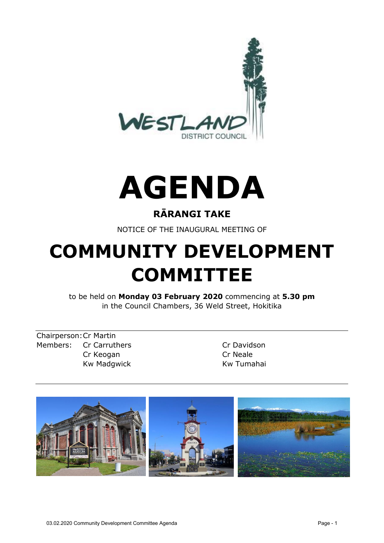



## **RĀRANGI TAKE**

NOTICE OF THE INAUGURAL MEETING OF

# **COMMUNITY DEVELOPMENT COMMITTEE**

to be held on **Monday 03 February 2020** commencing at **5.30 pm** in the Council Chambers, 36 Weld Street, Hokitika

Chairperson:Cr Martin Members: Cr Carruthers Cr Davidson Cr Keogan Cr Neale Kw Madgwick **Kw Tumahai** 

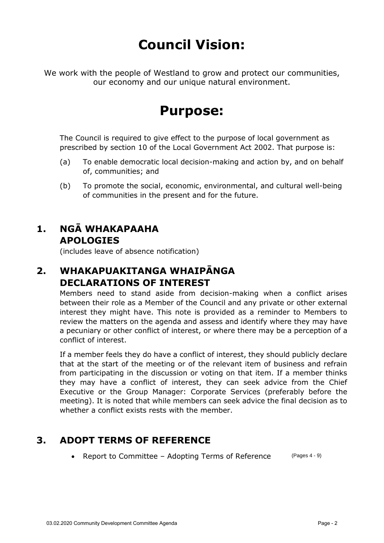## **Council Vision:**

We work with the people of Westland to grow and protect our communities, our economy and our unique natural environment.

## **Purpose:**

The Council is required to give effect to the purpose of local government as prescribed by section 10 of the Local Government Act 2002. That purpose is:

- (a) To enable democratic local decision-making and action by, and on behalf of, communities; and
- (b) To promote the social, economic, environmental, and cultural well-being of communities in the present and for the future.

## **1. NGĀ WHAKAPAAHA APOLOGIES**

(includes leave of absence notification)

## **2. WHAKAPUAKITANGA WHAIPĀNGA DECLARATIONS OF INTEREST**

Members need to stand aside from decision-making when a conflict arises between their role as a Member of the Council and any private or other external interest they might have. This note is provided as a reminder to Members to review the matters on the agenda and assess and identify where they may have a pecuniary or other conflict of interest, or where there may be a perception of a conflict of interest.

If a member feels they do have a conflict of interest, they should publicly declare that at the start of the meeting or of the relevant item of business and refrain from participating in the discussion or voting on that item. If a member thinks they may have a conflict of interest, they can seek advice from the Chief Executive or the Group Manager: Corporate Services (preferably before the meeting). It is noted that while members can seek advice the final decision as to whether a conflict exists rests with the member.

## **3. ADOPT TERMS OF REFERENCE**

• Report to Committee - Adopting Terms of Reference (Pages 4 - 9)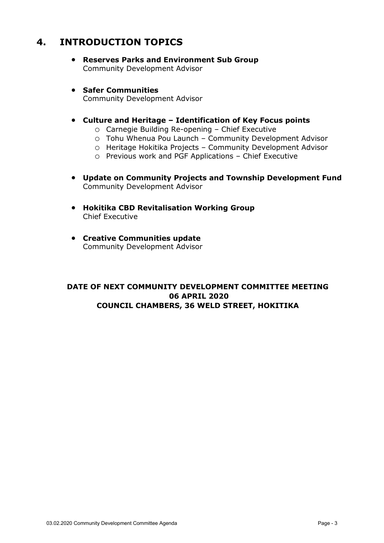### **4. INTRODUCTION TOPICS**

- **Reserves Parks and Environment Sub Group** Community Development Advisor
- **Safer Communities** Community Development Advisor
- **Culture and Heritage – Identification of Key Focus points**
	- o Carnegie Building Re-opening Chief Executive
	- o Tohu Whenua Pou Launch Community Development Advisor
	- o Heritage Hokitika Projects Community Development Advisor
	- o Previous work and PGF Applications Chief Executive
- **Update on Community Projects and Township Development Fund** Community Development Advisor
- **Hokitika CBD Revitalisation Working Group** Chief Executive
- **Creative Communities update** Community Development Advisor

#### **DATE OF NEXT COMMUNITY DEVELOPMENT COMMITTEE MEETING 06 APRIL 2020 COUNCIL CHAMBERS, 36 WELD STREET, HOKITIKA**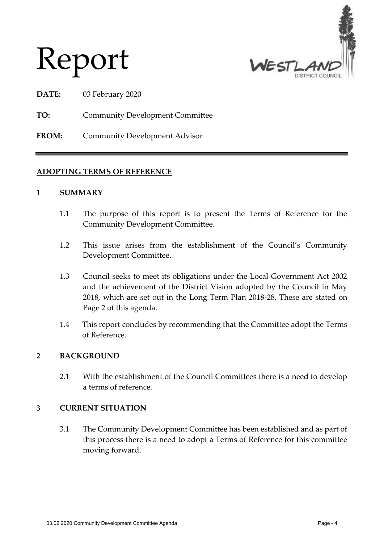



**DATE:** 03 February 2020

**TO:** Community Development Committee

**FROM:** Community Development Advisor

#### **ADOPTING TERMS OF REFERENCE**

#### **1 SUMMARY**

- 1.1 The purpose of this report is to present the Terms of Reference for the Community Development Committee.
- 1.2 This issue arises from the establishment of the Council's Community Development Committee.
- 1.3 Council seeks to meet its obligations under the Local Government Act 2002 and the achievement of the District Vision adopted by the Council in May 2018, which are set out in the Long Term Plan 2018-28. These are stated on Page 2 of this agenda.
- 1.4 This report concludes by recommending that the Committee adopt the Terms of Reference.

#### **2 BACKGROUND**

2.1 With the establishment of the Council Committees there is a need to develop a terms of reference.

#### **3 CURRENT SITUATION**

3.1 The Community Development Committee has been established and as part of this process there is a need to adopt a Terms of Reference for this committee moving forward.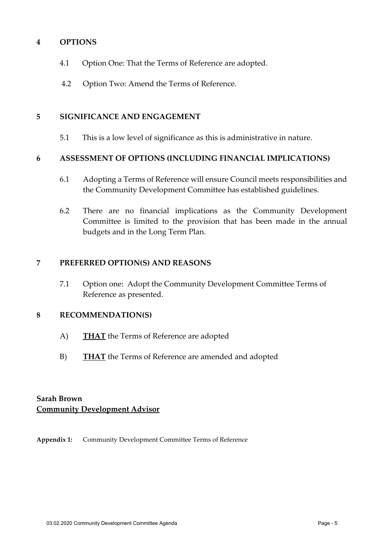#### **4 OPTIONS**

- 4.1 Option One: That the Terms of Reference are adopted.
- 4.2 Option Two: Amend the Terms of Reference.

#### **5 SIGNIFICANCE AND ENGAGEMENT**

5.1 This is a low level of significance as this is administrative in nature.

#### **6 ASSESSMENT OF OPTIONS (INCLUDING FINANCIAL IMPLICATIONS)**

- 6.1 Adopting a Terms of Reference will ensure Council meets responsibilities and the Community Development Committee has established guidelines.
- 6.2 There are no financial implications as the Community Development Committee is limited to the provision that has been made in the annual budgets and in the Long Term Plan.

#### **7 PREFERRED OPTION(S) AND REASONS**

7.1 Option one: Adopt the Community Development Committee Terms of Reference as presented.

#### **8 RECOMMENDATION(S)**

- A) **THAT** the Terms of Reference are adopted
- B) **THAT** the Terms of Reference are amended and adopted

#### **Sarah Brown Community Development Advisor**

**Appendix 1:** Community Development Committee Terms of Reference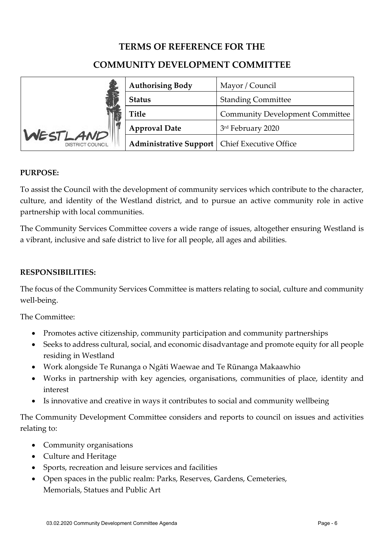#### **TERMS OF REFERENCE FOR THE**

#### **COMMUNITY DEVELOPMENT COMMITTEE**

|                                     | <b>Authorising Body</b>                         | Mayor / Council                        |
|-------------------------------------|-------------------------------------------------|----------------------------------------|
|                                     | <b>Status</b>                                   | <b>Standing Committee</b>              |
|                                     | <b>Title</b>                                    | <b>Community Development Committee</b> |
| WESTLAND<br><b>DISTRICT COUNCIL</b> | <b>Approval Date</b>                            | 3rd February 2020                      |
|                                     | Administrative Support   Chief Executive Office |                                        |

#### **PURPOSE:**

To assist the Council with the development of community services which contribute to the character, culture, and identity of the Westland district, and to pursue an active community role in active partnership with local communities.

The Community Services Committee covers a wide range of issues, altogether ensuring Westland is a vibrant, inclusive and safe district to live for all people, all ages and abilities.

#### **RESPONSIBILITIES:**

The focus of the Community Services Committee is matters relating to social, culture and community well-being.

The Committee:

- Promotes active citizenship, community participation and community partnerships
- Seeks to address cultural, social, and economic disadvantage and promote equity for all people residing in Westland
- Work alongside Te Runanga o Ngāti Waewae and Te Rūnanga Makaawhio
- Works in partnership with key agencies, organisations, communities of place, identity and interest
- Is innovative and creative in ways it contributes to social and community wellbeing

The Community Development Committee considers and reports to council on issues and activities relating to:

- Community organisations
- Culture and Heritage
- Sports, recreation and leisure services and facilities
- Open spaces in the public realm: Parks, Reserves, Gardens, Cemeteries, Memorials, Statues and Public Art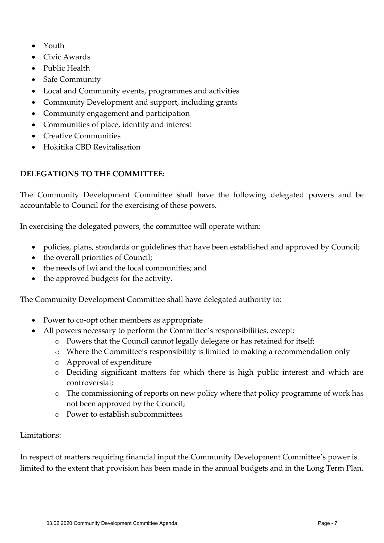- Youth
- Civic Awards
- Public Health
- Safe Community
- Local and Community events, programmes and activities
- Community Development and support, including grants
- Community engagement and participation
- Communities of place, identity and interest
- Creative Communities
- Hokitika CBD Revitalisation

#### **DELEGATIONS TO THE COMMITTEE:**

The Community Development Committee shall have the following delegated powers and be accountable to Council for the exercising of these powers.

In exercising the delegated powers, the committee will operate within:

- policies, plans, standards or guidelines that have been established and approved by Council;
- the overall priorities of Council;
- the needs of Iwi and the local communities; and
- the approved budgets for the activity.

The Community Development Committee shall have delegated authority to:

- Power to co-opt other members as appropriate
- All powers necessary to perform the Committee's responsibilities, except:
	- o Powers that the Council cannot legally delegate or has retained for itself;
	- o Where the Committee's responsibility is limited to making a recommendation only
	- o Approval of expenditure
	- o Deciding significant matters for which there is high public interest and which are controversial;
	- o The commissioning of reports on new policy where that policy programme of work has not been approved by the Council;
	- o Power to establish subcommittees

#### Limitations:

In respect of matters requiring financial input the Community Development Committee's power is limited to the extent that provision has been made in the annual budgets and in the Long Term Plan.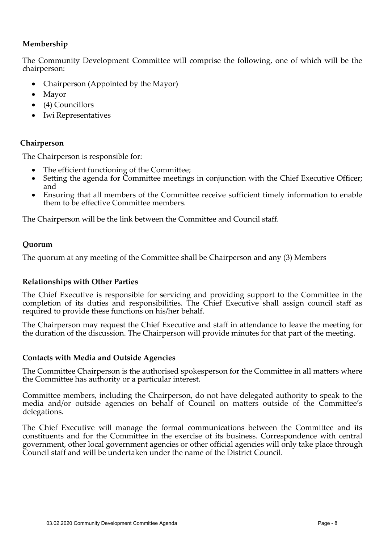#### **Membership**

The Community Development Committee will comprise the following, one of which will be the chairperson:

- Chairperson (Appointed by the Mayor)
- Mayor
- (4) Councillors
- Iwi Representatives

#### **Chairperson**

The Chairperson is responsible for:

- The efficient functioning of the Committee;
- Setting the agenda for Committee meetings in conjunction with the Chief Executive Officer; and
- Ensuring that all members of the Committee receive sufficient timely information to enable them to be effective Committee members.

The Chairperson will be the link between the Committee and Council staff.

#### **Quorum**

The quorum at any meeting of the Committee shall be Chairperson and any (3) Members

#### **Relationships with Other Parties**

The Chief Executive is responsible for servicing and providing support to the Committee in the completion of its duties and responsibilities. The Chief Executive shall assign council staff as required to provide these functions on his/her behalf.

The Chairperson may request the Chief Executive and staff in attendance to leave the meeting for the duration of the discussion. The Chairperson will provide minutes for that part of the meeting.

#### **Contacts with Media and Outside Agencies**

The Committee Chairperson is the authorised spokesperson for the Committee in all matters where the Committee has authority or a particular interest.

Committee members, including the Chairperson, do not have delegated authority to speak to the media and/or outside agencies on behalf of Council on matters outside of the Committee's delegations.

The Chief Executive will manage the formal communications between the Committee and its constituents and for the Committee in the exercise of its business. Correspondence with central government, other local government agencies or other official agencies will only take place through Council staff and will be undertaken under the name of the District Council.